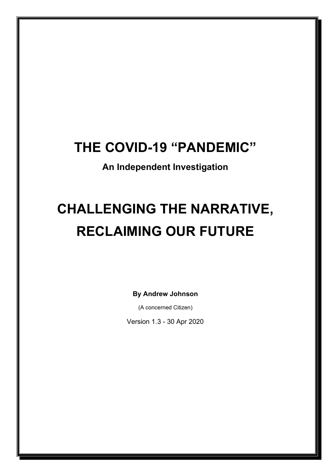## **THE COVID-19 "PANDEMIC"**

## **An Independent Investigation**

# **CHALLENGING THE NARRATIVE, RECLAIMING OUR FUTURE**

**By Andrew Johnson**

(A concerned Citizen)

Version 1.3 - 30 Apr 2020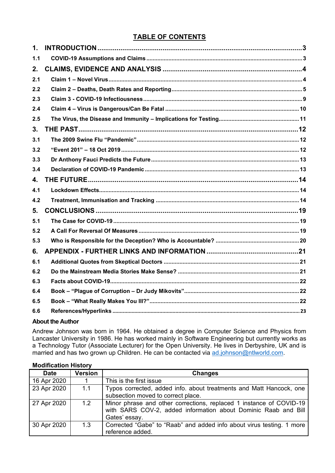## **TABLE OF CONTENTS**

| 1.  |  |
|-----|--|
| 1.1 |  |
| 2.  |  |
| 2.1 |  |
| 2.2 |  |
| 2.3 |  |
| 2.4 |  |
| 2.5 |  |
| 3.  |  |
| 3.1 |  |
| 3.2 |  |
| 3.3 |  |
| 3.4 |  |
| 4.  |  |
| 4.1 |  |
| 4.2 |  |
| 5.  |  |
| 5.1 |  |
| 5.2 |  |
| 5.3 |  |
| 6.  |  |
| 6.1 |  |
| 6.2 |  |
| 6.3 |  |
| 6.4 |  |
| 6.5 |  |
| 6.6 |  |

## **About the Author**

Andrew Johnson was born in 1964. He obtained a degree in Computer Science and Physics from Lancaster University in 1986. He has worked mainly in Software Engineering but currently works as a Technology Tutor (Associate Lecturer) for the Open University. He lives in Derbyshire, UK and is married and has two grown up Children. He can be contacted via [ad.johnson@ntlworld.com.](mailto:ad.johnson@ntlworld.com)

| <b>Date</b> | <b>Version</b> | <b>Changes</b>                                                                                                                                         |
|-------------|----------------|--------------------------------------------------------------------------------------------------------------------------------------------------------|
| 16 Apr 2020 |                | This is the first issue                                                                                                                                |
| 23 Apr 2020 | 1.1            | Typos corrected, added info. about treatments and Matt Hancock, one<br>subsection moved to correct place.                                              |
| 27 Apr 2020 | 1.2            | Minor phrase and other corrections, replaced 1 instance of COVID-19<br>with SARS COV-2, added information about Dominic Raab and Bill<br>Gates' essay. |
| 30 Apr 2020 | 1.3            | Corrected "Gabe" to "Raab" and added info about virus testing. 1 more<br>reference added.                                                              |

## **Modification History**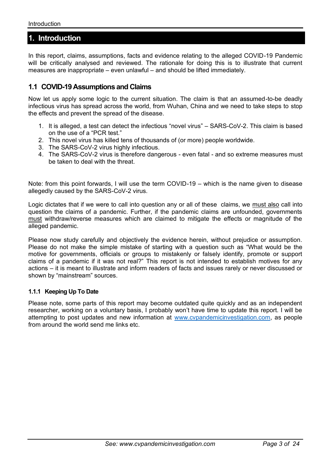## <span id="page-2-0"></span>**1. Introduction**

In this report, claims, assumptions, facts and evidence relating to the alleged COVID-19 Pandemic will be critically analysed and reviewed. The rationale for doing this is to illustrate that current measures are inappropriate – even unlawful – and should be lifted immediately.

## <span id="page-2-1"></span>**1.1 COVID-19 Assumptions and Claims**

Now let us apply some logic to the current situation. The claim is that an assumed-to-be deadly infectious virus has spread across the world, from Wuhan, China and we need to take steps to stop the effects and prevent the spread of the disease.

- 1. It is alleged, a test can detect the infectious "novel virus" SARS-CoV-2. This claim is based on the use of a "PCR test."
- 2. This novel virus has killed tens of thousands of (or more) people worldwide.
- 3. The SARS-CoV-2 virus highly infectious.
- 4. The SARS-CoV-2 virus is therefore dangerous even fatal and so extreme measures must be taken to deal with the threat.

Note: from this point forwards, I will use the term COVID-19 – which is the name given to disease allegedly caused by the SARS-CoV-2 virus.

Logic dictates that if we were to call into question any or all of these claims, we must also call into question the claims of a pandemic. Further, if the pandemic claims are unfounded, governments must withdraw/reverse measures which are claimed to mitigate the effects or magnitude of the alleged pandemic.

Please now study carefully and objectively the evidence herein, without prejudice or assumption. Please do not make the simple mistake of starting with a question such as "What would be the motive for governments, officials or groups to mistakenly or falsely identify, promote or support claims of a pandemic if it was not real?" This report is not intended to establish motives for any actions – it is meant to illustrate and inform readers of facts and issues rarely or never discussed or shown by "mainstream" sources.

#### **1.1.1 Keeping Up To Date**

Please note, some parts of this report may become outdated quite quickly and as an independent researcher, working on a voluntary basis, I probably won't have time to update this report. I will be attempting to post updates and new information at [www.cvpandemicinvestigation.com,](http://www.cvpandemicinvestigation.com/) as people from around the world send me links etc.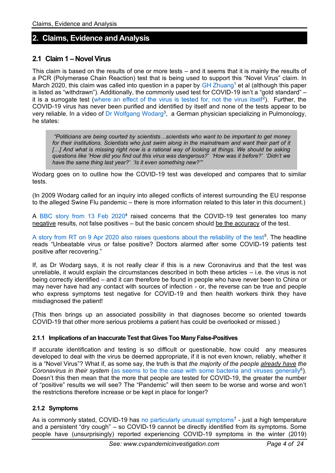## <span id="page-3-0"></span>**2. Claims, Evidence and Analysis**

## <span id="page-3-1"></span>**2.1 Claim 1 – Novel Virus**

This claim is based on the results of one or more tests – and it seems that it is mainly the results of a PCR (Polymerase Chain Reaction) test that is being used to support this "Novel Virus" claim. In March 2020, this claim was called into question in a paper by [GH Zhuang](https://www.ncbi.nlm.nih.gov/pubmed/32133832)<sup>1</sup> et al (although this paper is listed as "withdrawn"). Additionally, the commonly used test for COVID-19 isn't a "gold standard" – it is a surrogate test [\(where an effect of the virus is tested for, not the virus itself](https://www.ncbi.nlm.nih.gov/pmc/articles/PMC4615560/)<sup>2</sup>). Further, the COVID-19 virus has never been purified and identified by itself and none of the tests appear to be very reliable. In a video of [Dr Wolfgang Wodarg](https://www.youtube.com/watch?v=yn074EB5NNY)<sup>3</sup>, a German physician specializing in Pulmonology, he states:

*"Politicians are being courted by scientists…scientists who want to be important to get money*  for their institutions. Scientists who just swim along in the mainstream and want their part of it [...] And what is missing right now is a rational way of looking at things. We should be asking *questions like 'How did you find out this virus was dangerous?' 'How was it before?' 'Didn't we have the same thing last year?' 'Is it even something new?'"*

Wodarg goes on to outline how the COVID-19 test was developed and compares that to similar tests.

(In 2009 Wodarg called for an inquiry into alleged conflicts of interest surrounding the EU response to the alleged Swine Flu pandemic – there is more information related to this later in this document.)

A [BBC story from 13 Feb 2020](https://www.bbc.co.uk/news/health-51491763)<sup>4</sup> raised concerns that the COVID-19 test generates too many negative results, not false positives – but the basic concern should be the accuracy of the test.

[A story from RT on 9 Apr 2020 also raises questions about the reliability of the test](https://www.rt.com/news/485438-reactivation-reinfection-coronavirus-tests/)<sup>5</sup>. The headline reads "Unbeatable virus or false positive? Doctors alarmed after some COVID-19 patients test positive after recovering."

If, as Dr Wodarg says, it is not really clear if this is a new Coronavirus and that the test was unreliable, it would explain the circumstances described in both these articles – i.e. the virus is not being correctly identified – and it can therefore be found in people who have never been to China or may never have had any contact with sources of infection - or, the reverse can be true and people who express symptoms test negative for COVID-19 and then health workers think they have misdiagnosed the patient!

(This then brings up an associated possibility in that diagnoses become so oriented towards COVID-19 that other more serious problems a patient has could be overlooked or missed.)

#### **2.1.1 Implications of an Inaccurate Test that Gives Too Many False-Positives**

If accurate identification and testing is so difficult or questionable, how could any measures developed to deal with the virus be deemed appropriate, if it is not even known, reliably, whether it is a "Novel Virus"? What if, as some say, the truth is that *the majority of the people already have the*  Coronavirus in their system [\(as seems to be the case with some bacteria and viruses](https://www.nhs.uk/news/medical-practice/three-quarters-of-people-with-flu-have-no-symptoms/) generally<sup>6</sup>). Doesn't this then mean that the more that people are tested for COVID-19, the greater the number of "positive" results we will see? The "Pandemic" will then seem to be worse and worse and won't the restrictions therefore increase or be kept in place for longer?

## **2.1.2 Symptoms**

As is commonly stated, COVID-19 has [no particularly unusual symptoms](https://www.nhs.uk/conditions/coronavirus-covid-19/symptoms-and-what-to-do/)<sup>7</sup> - just a high temperature and a persistent "dry cough" – so COVID-19 cannot be directly identified from its symptoms. Some people have (unsurprisingly) reported experiencing COVID-19 symptoms in the winter (2019)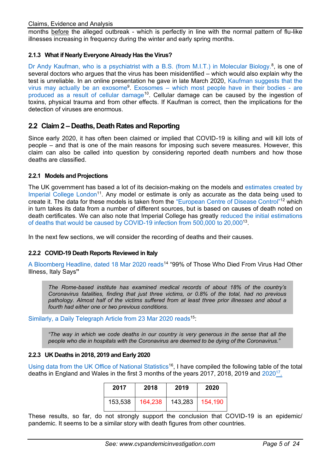months before the alleged outbreak - which is perfectly in line with the normal pattern of flu-like illnesses increasing in frequency during the winter and early spring months.

## **2.1.3 What if Nearly Everyone Already Has the Virus?**

[Dr Andy Kaufman, who is a psychiatrist with a](https://www.andrewkaufmanmd.com/bio-credentials/) B.S. (from M.I.T.) in Molecular Biology.<sup>8</sup>, is one of several doctors who argues that the virus has been misidentified – which would also explain why the test is unreliable. In an online presentation he gave in late March 2020, Kaufman suggests that the [virus may actually be an exosome](https://youtu.be/Xr8Dy5mnYx8?t=1130)<sup>9</sup>. Exosomes – [which most people have in their bodies -](https://www.britannica.com/science/exosome) are [produced as a result of cellular damage](https://www.britannica.com/science/exosome)<sup>10</sup>. Cellular damage can be caused by the ingestion of toxins, physical trauma and from other effects. If Kaufman is correct, then the implications for the detection of viruses are enormous.

## <span id="page-4-0"></span>**2.2 Claim 2 – Deaths, Death Rates and Reporting**

Since early 2020, it has often been claimed or implied that COVID-19 is killing and will kill lots of people – and that is one of the main reasons for imposing such severe measures. However, this claim can also be called into question by considering reported death numbers and how those deaths are classified.

## **2.2.1 Models and Projections**

The UK government has based a lot of its decision-making on the models and [estimates created by](https://www.imperial.ac.uk/media/imperial-college/medicine/sph/ide/gida-fellowships/Imperial-College-COVID19-Europe-estimates-and-NPI-impact-30-03-2020.pdf)  [Imperial College London](https://www.imperial.ac.uk/media/imperial-college/medicine/sph/ide/gida-fellowships/Imperial-College-COVID19-Europe-estimates-and-NPI-impact-30-03-2020.pdf)<sup>11</sup>. Any model or estimate is only as accurate as the data being used to create it. The data for these models is taken from the ["European Centre of Disease Control"](https://www.ecdc.europa.eu/en/covid-19/data-collection)<sup>12</sup> which in turn takes its data from a number of different sources, but is based on causes of death noted on death certificates. We can also note that Imperial College has greatly [reduced the initial estimations](https://www.washingtonexaminer.com/news/imperial-college-scientist-who-predicted-500k-coronavirus-deaths-in-uk-revises-to-20k-or-less)  [of deaths that would be caused by COVID-19 infection from 500,000 to 20,000](https://www.washingtonexaminer.com/news/imperial-college-scientist-who-predicted-500k-coronavirus-deaths-in-uk-revises-to-20k-or-less)<sup>13</sup>.

In the next few sections, we will consider the recording of deaths and their causes.

## **2.2.2 COVID-19 Death Reports Reviewed in Italy**

[A Bloomberg Headline, dated 18 Mar 2020 reads](https://www.bloomberg.com/news/articles/2020-03-18/99-of-those-who-died-from-virus-had-other-illness-italy-says)<sup>14</sup> "99% of Those Who Died From Virus Had Other Illness, Italy Says**"**

*The Rome-based institute has examined medical records of about 18% of the country's Coronavirus fatalities, finding that just three victims, or 0.8% of the total, had no previous pathology. Almost half of the victims suffered from at least three prior illnesses and about a fourth had either one or two previous conditions.*

[Similarly, a Daily Telegraph Article from 23 Mar 2020](https://www.telegraph.co.uk/global-health/science-and-disease/have-many-coronavirus-patients-died-italy/) reads<sup>15</sup>:

*"The way in which we code deaths in our country is very generous in the sense that all the people who die in hospitals with the Coronavirus are deemed to be dying of the Coronavirus."*

#### **2.2.3 UK Deaths in 2018, 2019 and Early 2020**

[Using data from the UK Office of National Statistics](https://www.ons.gov.uk/peoplepopulationandcommunity/birthsdeathsandmarriages/deaths/datasets/monthlyfiguresondeathsregisteredbyareaofusualresidence)<sup>16</sup>, I have compiled the following table of the total deaths in England and Wales in the first 3 months of the years 2017, 2018, 2019 and  $2020^{17}$ .

| 2017    | 2018    | 2019    | 2020    |
|---------|---------|---------|---------|
| 153,538 | 164,238 | 143,283 | 154,190 |

These results, so far, do not strongly support the conclusion that COVID-19 is an epidemic/ pandemic. It seems to be a similar story with death figures from other countries.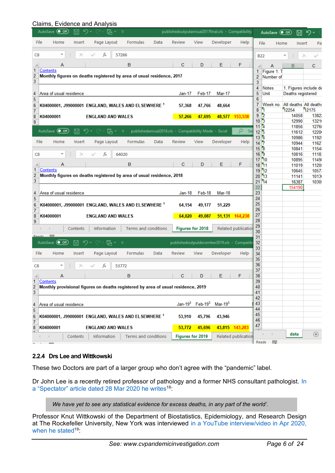|                          | AutoSave ( Off)          |                          | $\boxplus$ | Cialitis, Evidence and Analysis<br>롞                                              | $\overline{\mathbf{v}}$ |          |                             | publishedoutputannual2017final.xls - Compatibility   |                         |                                             |                     |                         | AutoSave (OOff)          |                | り、<br>⊞                                    |
|--------------------------|--------------------------|--------------------------|------------|-----------------------------------------------------------------------------------|-------------------------|----------|-----------------------------|------------------------------------------------------|-------------------------|---------------------------------------------|---------------------|-------------------------|--------------------------|----------------|--------------------------------------------|
|                          | File                     | Home                     | Insert     | Page Layout                                                                       | Formulas                |          | Data                        | Review                                               | View                    | Developer                                   | Help                | File                    | Home                     |                | Insert<br>Pa                               |
| C <sub>8</sub>           |                          | $\overline{\phantom{a}}$ |            | fx                                                                                | 57266                   |          |                             |                                                      |                         |                                             |                     | <b>B22</b>              |                          |                | ×                                          |
|                          |                          | А                        |            |                                                                                   | в                       |          |                             | c                                                    | D                       | Е                                           | F                   |                         | А                        | B              | с                                          |
| 1<br>2                   | <b>Contents</b>          |                          |            | Monthly figures on deaths registered by area of usual residence, 2017             |                         |          |                             |                                                      |                         |                                             |                     | 1  <br>2.               | Figure 1: T<br>Number of |                |                                            |
| 3                        |                          |                          |            |                                                                                   |                         |          |                             |                                                      |                         |                                             |                     | 3                       |                          |                |                                            |
| 4                        |                          | Area of usual residence  |            |                                                                                   |                         |          |                             | Jan-17                                               | Feb-17                  | <b>Mar-17</b>                               |                     | 4<br>5                  | Notes<br>Unit            |                | 1. Figures include de<br>Deaths registered |
| 5                        |                          |                          |            |                                                                                   |                         |          |                             |                                                      |                         |                                             |                     | 6<br>7                  |                          |                |                                            |
| 6<br>$\overline{7}$      |                          |                          |            | K04000001, J99000001 ENGLAND, WALES AND ELSEWHERE 1                               |                         |          |                             | 57,368                                               | 47,766                  | 48,664                                      |                     | 8                       | и                        | 12254          | Week no. All deaths All deaths<br>12175    |
| 8                        | K04000001                |                          |            | <b>ENGLAND AND WALES</b>                                                          |                         |          |                             | 57,266                                               | 47,695                  |                                             | 48,577 153,538      | $9 \vert 2$<br>$10^{5}$ |                          | 14058<br>12990 | 1382<br>1321                               |
| 9                        |                          |                          |            |                                                                                   |                         |          |                             |                                                      |                         |                                             |                     | $11 \, 4$               |                          | 11856          | 1276                                       |
|                          | AutoSave (O Off)         |                          | $\boxplus$ | り・ペー                                                                              |                         |          |                             | publishedannual2018.xls - Compatibility Mode - Excel |                         |                                             | Q<br>Sea            | 12 <sub>5</sub>         |                          | 11612          | 1220                                       |
|                          | File                     | Home                     | Insert     | Page Layout                                                                       |                         | Formulas | Data                        | Review                                               | View                    | Developer                                   | Help                | 13 6<br>147             |                          | 10986<br>10944 | 1192<br>1162                               |
|                          |                          |                          |            |                                                                                   |                         |          |                             |                                                      |                         |                                             |                     | 15 <sup>8</sup>         |                          | 10841          | 1154                                       |
| C8                       |                          | $\overline{\phantom{a}}$ |            | fx                                                                                | 64020                   |          |                             |                                                      |                         |                                             |                     | 16 <sup>5</sup>         |                          | 10816          | 1118                                       |
|                          |                          |                          |            |                                                                                   |                         |          |                             |                                                      |                         |                                             |                     | 17 <sup>7</sup> 10      |                          | 10895          | 1149                                       |
| 1                        | Contents                 | A                        |            |                                                                                   | в                       |          |                             | с                                                    | D                       | Е                                           | F                   | 18 11                   |                          | 11019          | 1120                                       |
| 2                        |                          |                          |            | Monthly figures on deaths registered by area of usual residence, 2018             |                         |          |                             |                                                      |                         |                                             |                     | 19 12<br>20 13          |                          | 10645<br>11141 | 1057.<br>1013                              |
| 3                        |                          |                          |            |                                                                                   |                         |          |                             |                                                      |                         |                                             |                     | $21 \ 14$               |                          | 16387          | 1030                                       |
|                          |                          |                          |            |                                                                                   |                         |          |                             |                                                      |                         |                                             |                     | 22                      |                          | 154190         |                                            |
| 4                        |                          | Area of usual residence  |            |                                                                                   |                         |          |                             | Jan-18                                               | Feb-18                  | Mar-18                                      |                     | 23                      |                          |                |                                            |
| 5                        |                          |                          |            |                                                                                   |                         |          |                             |                                                      |                         |                                             |                     | 24                      |                          |                |                                            |
| 6                        |                          |                          |            | K04000001, J99000001 ENGLAND, WALES AND ELSEWHERE 1                               |                         |          |                             | 64,154                                               | 49,177                  | 51,229                                      |                     | 25<br>26                |                          |                |                                            |
| $\overline{7}$<br>8      | K04000001                |                          |            | <b>ENGLAND AND WALES</b>                                                          |                         |          |                             | 64,020                                               | 49,087                  |                                             | 51,131 164,238      | 27                      |                          |                |                                            |
| 9                        |                          |                          |            |                                                                                   |                         |          |                             |                                                      |                         |                                             |                     | 28<br>29                |                          |                |                                            |
|                          | $=$                      |                          | Contents   | Information                                                                       |                         |          | <b>Terms and conditions</b> |                                                      | <b>Figures for 2018</b> |                                             | Related publication | 30                      |                          |                |                                            |
|                          | Daadw<br>AutoSave ( Off) |                          | $\boxplus$ | ら・ペー<br>링*                                                                        | $\overline{\mathbb{v}}$ |          |                             |                                                      |                         | publishedoutputdecember2019.xls - Compatibi |                     | 31<br>32                |                          |                |                                            |
|                          |                          |                          |            |                                                                                   |                         |          |                             |                                                      |                         |                                             |                     | 33                      |                          |                |                                            |
|                          | File                     | Home                     | Insert     | Page Layout                                                                       | Formulas                |          | Data                        | Review                                               | View                    | Developer                                   | Help                | 34                      |                          |                |                                            |
|                          |                          |                          |            |                                                                                   | 53772                   |          |                             |                                                      |                         |                                             |                     | 35<br>36                |                          |                |                                            |
| C8                       |                          |                          |            | fx                                                                                |                         |          |                             |                                                      |                         |                                             |                     | 37                      |                          |                |                                            |
|                          |                          | А                        |            |                                                                                   | в                       |          |                             |                                                      | $C \quad   \quad D$     | $E \mid$                                    | F                   | 38                      |                          |                |                                            |
| 1                        | <b>Contents</b>          |                          |            |                                                                                   |                         |          |                             |                                                      |                         |                                             |                     | 39                      |                          |                |                                            |
| $\overline{2}$<br>3      |                          |                          |            | Monthly provisional figures on deaths registered by area of usual residence, 2019 |                         |          |                             |                                                      |                         |                                             |                     | 40<br>41                |                          |                |                                            |
|                          |                          |                          |            |                                                                                   |                         |          |                             |                                                      |                         |                                             |                     | 42                      |                          |                |                                            |
| 4                        |                          | Area of usual residence  |            |                                                                                   |                         |          |                             |                                                      | Jan-19 $3$ Feb-19 $3$   | Mar-19 $3$                                  |                     | 43                      |                          |                |                                            |
| 5                        |                          |                          |            |                                                                                   |                         |          |                             |                                                      |                         |                                             |                     | 44                      |                          |                |                                            |
| 6                        |                          |                          |            | K04000001, J99000001 ENGLAND, WALES AND ELSEWHERE 1                               |                         |          |                             | 53,910                                               | 45,796                  | 43,946                                      |                     | 45<br>46                |                          |                |                                            |
| $\overline{7}$<br>8      | K04000001                |                          |            | <b>ENGLAND AND WALES</b>                                                          |                         |          |                             | 53,772                                               | 45,696                  |                                             | 43,815 143,283      | 47                      |                          |                |                                            |
| $\overline{\phantom{a}}$ |                          |                          | Contents   | Information                                                                       |                         |          | Terms and conditions        |                                                      | Figures for 2019        |                                             | Related publication |                         |                          | data           | $\bigoplus$                                |
|                          |                          |                          |            |                                                                                   |                         |          |                             |                                                      |                         |                                             |                     | Ready                   | 扇                        |                |                                            |

## Claims, Evidence and Analysis

#### **2.2.4 Drs Lee and Wittkowski**

These two Doctors are part of a larger group who don't agree with the "pandemic" label.

Dr John Lee is a recently retired professor of pathology and a former NHS consultant pathologist. In [a "Spectator" article dated 28 Mar 2020 he writes](https://www.spectator.co.uk/article/The-evidence-on-Covid-19-is-not-as-clear-as-we-think)<sup>18</sup>:

*We have yet to see any statistical evidence for excess deaths, in any part of the world'.*

Professor Knut Wittkowski of the Department of Biostatistics, Epidemiology, and Research Design at The Rockefeller University, New York was interviewed [in a YouTube interview/video in Apr 2020,](https://www.youtube.com/watch?v=lGC5sGdz4kg)  [when he stated](https://www.youtube.com/watch?v=lGC5sGdz4kg) $19$ :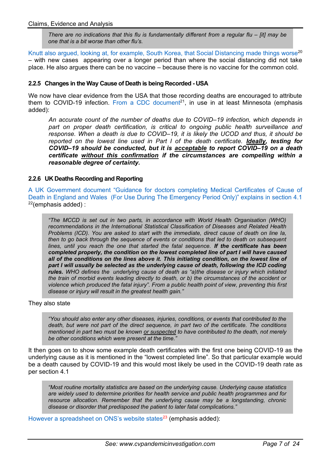*There are no indications that this flu is fundamentally different from a regular flu – [it] may be one that is a bit worse than other flu's.*

[Knutt also argued, looking at, for example, South Korea, that Social Distancing made things worse](https://www.aier.org/article/stand-up-for-your-rights-says-professor-knut-m-wittkowski/)<sup>20</sup> – with new cases appearing over a longer period than where the social distancing did not take place. He also argues there can be no vaccine – because there is no vaccine for the common cold.

### **2.2.5 Changes in the Way Cause of Death is being Recorded - USA**

We now have clear evidence from the USA that those recording deaths are encouraged to attribute them to COVID-19 infection. [From a CDC document](https://www.cdc.gov/nchs/data/nvss/vsrg/vsrg03-508.pdf)<sup>21</sup>, in use in at least Minnesota (emphasis added):

*An accurate count of the number of deaths due to COVID–19 infection, which depends in*  part on proper death certification, is critical to ongoing public health surveillance and *response. When a death is due to COVID–19, it is likely the UCOD and thus, it should be reported on the lowest line used in Part I of the death certificate. Ideally, testing for COVID–19 should be conducted, but it is acceptable to report COVID–19 on a death certificate without this confirmation if the circumstances are compelling within a reasonable degree of certainty.*

## **2.2.6 UK Deaths Recording and Reporting**

[A UK Government document "Guidance for doctors completing Medical Certificates of Cause of](https://assets.publishing.service.gov.uk/government/uploads/system/uploads/attachment_data/file/877302/guidance-for-doctors-completing-medical-certificates-of-cause-of-death-covid-19.pdf)  [Death in England and Wales \(For Use During The Emergency Period Only\)" explains in section 4.1](https://assets.publishing.service.gov.uk/government/uploads/system/uploads/attachment_data/file/877302/guidance-for-doctors-completing-medical-certificates-of-cause-of-death-covid-19.pdf)   $22$ (emphasis added) :

*"The MCCD is set out in two parts, in accordance with World Health Organisation (WHO) recommendations in the International Statistical Classification of Diseases and Related Health Problems (ICD). You are asked to start with the immediate, direct cause of death on line Ia, then to go back through the sequence of events or conditions that led to death on subsequent lines, until you reach the one that started the fatal sequence. If the certificate has been completed properly, the condition on the lowest completed line of part I will have caused all of the conditions on the lines above it. This initiating condition, on the lowest line of part I will usually be selected as the underlying cause of death, following the ICD coding rules. WHO defines the underlying cause of death as "a)the disease or injury which initiated the train of morbid events leading directly to death, or b) the circumstances of the accident or violence which produced the fatal injury". From a public health point of view, preventing this first disease or injury will result in the greatest health gain."*

They also state

*"You should also enter any other diseases, injuries, conditions, or events that contributed to the death, but were not part of the direct sequence, in part two of the certificate. The conditions mentioned in part two must be known or suspected to have contributed to the death, not merely be other conditions which were present at the time."*

It then goes on to show some example death certificates with the first one being COVID-19 as the underlying cause as it is mentioned in the "lowest completed line". So that particular example would be a death caused by COVID-19 and this would most likely be used in the COVID-19 death rate as per section 4.1

*"Most routine mortality statistics are based on the underlying cause. Underlying cause statistics are widely used to determine priorities for health service and public health programmes and for resource allocation. Remember that the underlying cause may be a longstanding, chronic disease or disorder that predisposed the patient to later fatal complications."*

However a spreadsh[eet on ONS's website states](https://www.ons.gov.uk/peoplepopulationandcommunity/birthsdeathsandmarriages/deaths/datasets/weeklyprovisionalfiguresondeathsregisteredinenglandandwales)<sup>23</sup> (emphasis added):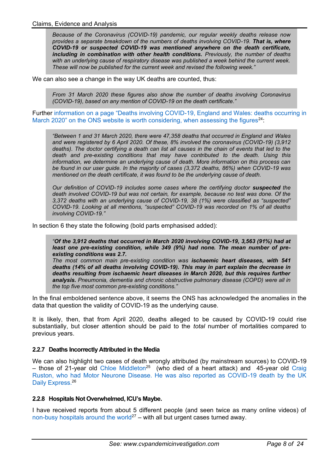*Because of the Coronavirus (COVID-19) pandemic, our regular weekly deaths release now provides a separate breakdown of the numbers of deaths involving COVID-19. That is, where COVID-19 or suspected COVID-19 was mentioned anywhere on the death certificate, including in combination with other health conditions. Previously, the number of deaths with an underlying cause of respiratory disease was published a week behind the current week. These will now be published for the current week and revised the following week."*

We can also see a change in the way UK deaths are counted, thus:

*From 31 March 2020 these figures also show the number of deaths involving Coronavirus (COVID-19), based on any mention of COVID-19 on the death certificate."*

Further [information on a page "Deaths involving COVID](https://www.ons.gov.uk/peoplepopulationandcommunity/birthsdeathsandmarriages/deaths/bulletins/deathsinvolvingcovid19englandandwales/deathsoccurringinmarch2020#characteristics-of-those-dying-from-covid-19)-19, England and Wales: deaths occurring in [March 2020" on the ONS website is worth considering, when assessing the figures](https://www.ons.gov.uk/peoplepopulationandcommunity/birthsdeathsandmarriages/deaths/bulletins/deathsinvolvingcovid19englandandwales/deathsoccurringinmarch2020#characteristics-of-those-dying-from-covid-19)<sup>24</sup>:

*"Between 1 and 31 March 2020, there were 47,358 deaths that occurred in England and Wales and were registered by 6 April 2020. Of these, 8% involved the coronavirus (COVID-19) (3,912 deaths). The doctor certifying a death can list all causes in the chain of events that led to the death and pre-existing conditions that may have contributed to the death. Using this information, we determine an underlying cause of death. More information on this process can be found in our user guide. In the majority of cases (3,372 deaths, 86%) when COVID-19 was mentioned on the death certificate, it was found to be the underlying cause of death.*

*Our definition of COVID-19 includes some cases where the certifying doctor <i>suspected* the *death involved COVID-19 but was not certain, for example, because no test was done. Of the 3,372 deaths with an underlying cause of COVID-19, 38 (1%) were classified as "suspected" COVID-19. Looking at all mentions, "suspected" COVID-19 was recorded on 1% of all deaths involving COVID-19."*

In section 6 they state the following (bold parts emphasised added):

*"Of the 3,912 deaths that occurred in March 2020 involving COVID-19, 3,563 (91%) had at least one pre-existing condition, while 349 (9%) had none. The mean number of preexisting conditions was 2.7.*

*The most common main pre-existing condition was ischaemic heart diseases, with 541 deaths (14% of all deaths involving COVID-19). This may in part explain the decrease in deaths resulting from ischaemic heart diseases in March 2020, but this requires further analysis. Pneumonia, dementia and chronic obstructive pulmonary disease (COPD) were all in the top five most common pre-existing conditions."*

In the final emboldened sentence above, it seems the ONS has acknowledged the anomalies in the data that question the validity of COVID-19 as the underlying cause.

It is likely, then, that from April 2020, deaths alleged to be caused by COVID-19 could rise substantially, but closer attention should be paid to the *total* number of mortalities compared to previous years.

#### **2.2.7 Deaths Incorrectly Attributed in the Media**

We can also highlight two cases of death wrongly attributed (by mainstream sources) to COVID-19 – those of 21-year old [Chloe Middleton](https://www.spiked-online.com/2020/03/27/chloe-middleton-the-coronavirus-death-that-wasnt/)<sup>25</sup> (who died of a heart attack) and 45-year old Craig [Ruston, who had Motor Neurone Disease. He was also reported as COVID-19 death by the UK](https://www.express.co.uk/news/uk/1256639/coronavirus-uk-deaths-britain-victim-motor-neurone-disease-pandemic)  [Daily Express.](https://www.express.co.uk/news/uk/1256639/coronavirus-uk-deaths-britain-victim-motor-neurone-disease-pandemic)<sup>26</sup>

#### **2.2.8 Hospitals Not Overwhelmed, ICU's Maybe.**

I have received reports from about 5 different people (and seen twice as many online videos) of [non-busy hospitals around the world](https://youtu.be/NXmKZ3k1Tdg?t=24)<sup>27</sup> – with all but urgent cases turned away.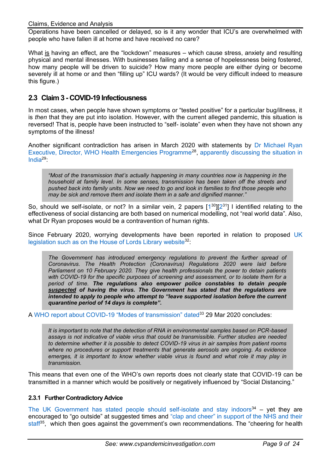Operations have been cancelled or delayed, so is it any wonder that ICU's are overwhelmed with people who have fallen ill at home and have received no care?

What is having an effect, are the "lockdown" measures – which cause stress, anxiety and resulting physical and mental illnesses. With businesses failing and a sense of hopelessness being fostered, how many people will be driven to suicide? How many more people are either dying or become severely ill at home or and then "filling up" ICU wards? (It would be very difficult indeed to measure this figure.)

## <span id="page-8-0"></span>**2.3 Claim 3 - COVID-19 Infectiousness**

In most cases, when people have shown symptoms or "tested positive" for a particular bug/illness, it is *then* that they are put into isolation. However, with the current alleged pandemic, this situation is reversed! That is, people have been instructed to "self- isolate" even when they have not shown any symptoms of the illness!

Another significant contradiction has arisen in March 2020 with statements by [Dr Michael Ryan](https://www.who.int/dg/who-headquarters-leadership-team)  [Executive, Director, WHO Health Emergencies Programme](https://www.who.int/dg/who-headquarters-leadership-team)<sup>28</sup>, apparently discussing the situation in [India](https://www.youtube.com/watch?v=Vg2fyKCSt24) $^{29}$ 

*"Most of the transmission that's actually happening in many countries now is happening in the household at family level. In some senses, transmission has been taken off the streets and pushed back into family units. Now we need to go and look in families to find those people who may be sick and remove them and isolate them in a safe and dignified manner."* 

So, should we self-isolate, or not? In a similar vein, 2 papers  $[1^{30}][2^{31}]$  $[1^{30}][2^{31}]$  $[1^{30}][2^{31}]$  $[1^{30}][2^{31}]$  I identified relating to the effectiveness of social distancing are both based on numerical modelling, not "real world data". Also, what Dr Ryan proposes would be a contravention of human rights.

Since February 2020, worrying developments have been reported in relation to proposed [UK](https://lordslibrary.parliament.uk/infocus/coronavirus-emergency-legislation/)  [legislation such as on the House of Lords Library website](https://lordslibrary.parliament.uk/infocus/coronavirus-emergency-legislation/)<sup>32</sup>:

*The Government has introduced emergency regulations to prevent the further spread of Coronavirus. The Health Protection (Coronavirus) Regulations 2020 were laid before Parliament on 10 February 2020. They give health professionals the power to detain patients with COVID-19 for the specific purposes of screening and assessment, or to isolate them for a period of time. The regulations also empower police constables to detain people suspected of having the virus. The Government has stated that the regulations are intended to apply to people who attempt to "leave supported isolation before the current quarantine period of 14 days is complete".*

A WHO report about COVID-[19 "Modes of transmission" dated](https://www.who.int/news-room/commentaries/detail/modes-of-transmission-of-virus-causing-covid-19-implications-for-ipc-precaution-recommendations)<sup>33</sup> 29 Mar 2020 concludes:

*It is important to note that the detection of RNA in environmental samples based on PCR-based assays is not indicative of viable virus that could be transmissible. Further studies are needed to determine whether it is possible to detect COVID-19 virus in air samples from patient rooms where no procedures or support treatments that generate aerosols are ongoing. As evidence emerges, it is important to know whether viable virus is found and what role it may play in transmission.* 

This means that even one of the WHO's own reports does not clearly state that COVID-19 can be transmitted in a manner which would be positively or negatively influenced by "Social Distancing."

## **2.3.1 Further Contradictory Advice**

[The UK Government has stated people should self-isolate and stay indoors](https://www.gov.uk/government/publications/covid-19-stay-at-home-guidance)<sup>34</sup> – yet they are encouraged to "go outside" at suggested times and ["clap and cheer" in support of the NHS and their](https://metro.co.uk/2020/03/26/thousands-clap-hands-together-round-applause-heroic-nhs-workers-12463007/)  [staff](https://metro.co.uk/2020/03/26/thousands-clap-hands-together-round-applause-heroic-nhs-workers-12463007/)<sup>35</sup>, which then goes against the government's own recommendations. The "cheering for health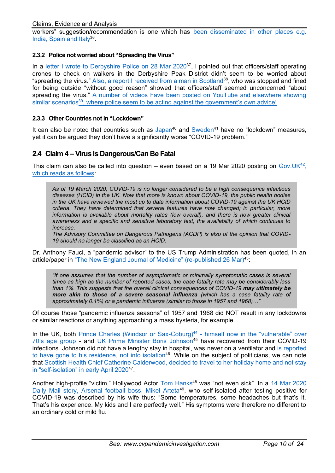workers" suggestion/recommendation is one which has [been disseminated in other places e.g.](https://www.indiatoday.in/trending-news/story/coronavirus-videos-of-people-applauding-and-cheering-for-healthcare-workers-in-spain-go-viral-1655702-2020-03-15)  [India, Spain and Italy](https://www.indiatoday.in/trending-news/story/coronavirus-videos-of-people-applauding-and-cheering-for-healthcare-workers-in-spain-go-viral-1655702-2020-03-15)<sup>36</sup>.

## **2.3.2 Police not worried about "Spreading the Virus"**

In a [letter I wrote to Derbyshire Police on 28 Mar 2020](https://www.checktheevidence.com/wordpress/2020/03/28/letter-to-derbyshire-police-surveillance-of-hikers/)<sup>37</sup>, I pointed out that officers/staff operating drones to check on walkers in the Derbyshire Peak District didn't seem to be worried about "spreading the virus." [Also, a report I received from a man in Scotland](https://www.checktheevidence.com/wordpress/2020/03/31/is-this-really-about-a-deadly-virus-i-think-not/)<sup>38</sup>, who was stopped and fined for being outside "without good reason" showed that officers/staff seemed unconcerned "about spreading the virus." [A number of videos have been posted on YouTube and elsewhere showing](https://www.youtube.com/watch?v=fn5SRmLZ4mo)  [similar scenarios](https://www.youtube.com/watch?v=fn5SRmLZ4mo)<sup>39</sup>, where police seem to be acting against the government's own advice!

## **2.3.3 Other Countries not in "Lockdown"**

It can also be noted that countries such as  $Japan<sup>40</sup>$  and [Sweden](https://spectator.org/coronavirus-we-should-follow-swedens-example/)<sup>41</sup> have no "lockdown" measures, yet it can be argued they don't have a significantly worse "COVID-19 problem."

## <span id="page-9-0"></span>**2.4 Claim 4 – Virus is Dangerous/Can Be Fatal**

This claim can also be called into question – even based on a 19 Mar 2020 posting on [Gov.UK](https://www.gov.uk/guidance/high-consequence-infectious-diseases-hcid) $^{42}$ , which reads as follows:

*As of 19 March 2020, COVID-19 is no longer considered to be a high consequence infectious diseases (HCID) in the UK. Now that more is known about COVID-19, the public health bodies in the UK have reviewed the most up to date information about COVID-19 against the UK HCID criteria. They have determined that several features have now changed; in particular, more information is available about mortality rates (low overall), and there is now greater clinical awareness and a specific and sensitive laboratory test, the availability of which continues to increase.*

*The Advisory Committee on Dangerous Pathogens (ACDP) is also of the opinion that COVID-19 should no longer be classified as an HCID.*

Dr. Anthony Fauci, a "pandemic advisor" to the US Trump Administration has been quoted, in an article/paper in ["The New England Journal of Medicine" \(re](https://www.nejm.org/doi/full/10.1056/NEJMe2002387)-published 26 Mar)<sup>43</sup>:

*"If one assumes that the number of asymptomatic or minimally symptomatic cases is several times as high as the number of reported cases, the case fatality rate may be considerably less than 1%. This suggests that the overall clinical consequences of COVID-19 may ultimately be more akin to those of a severe seasonal influenza (which has a case fatality rate of approximately 0.1%) or a pandemic influenza (similar to those in 1957 and 1968)…"*

Of course those "pandemic influenza seasons" of 1957 and 1968 did NOT result in any lockdowns or similar reactions or anything approaching a mass hysteria, for example.

In the UK, both [Prince Charles \(Windsor or Sax-Coburg\)](https://uk.style.yahoo.com/prince-charles-reunites-camilla-testing-083600153.html)<sup>44</sup> - himself now in the "vulnerable" over 70's age group - and [UK Prime Minister Boris Johnson](https://uk.style.yahoo.com/prince-charles-reunites-camilla-testing-083600153.html)<sup>45</sup> have recovered from their COVID-19 infections. Johnson did not have a lengthy stay in hospital, was never on a ventilator and [is reported](https://www.theguardian.com/politics/2020/apr/12/boris-johnson-leaves-hospital-as-he-continues-recovery-from-coronavirus)  [to have gone to his residence, not into isolation](https://www.theguardian.com/politics/2020/apr/12/boris-johnson-leaves-hospital-as-he-continues-recovery-from-coronavirus)<sup>46</sup>. While on the subject of politicians, we can note that [Scottish Health Chief Catherine Calderwood, decided to travel to her holiday home and not stay](https://www.heraldscotland.com/news/18359197.scotlands-chief-medical-officer-catherine-calderwood-spotted-flouting-coronavirus-lockdown-rules-visit-second-home/)  in "self-[isolation" in early April 2020](https://www.heraldscotland.com/news/18359197.scotlands-chief-medical-officer-catherine-calderwood-spotted-flouting-coronavirus-lockdown-rules-visit-second-home/)<sup>47</sup>.

Another high-profile "victim," Hollywood Actor [Tom Hanks](https://www.cnet.com/news/tom-hanks-rita-wilson-return-to-home-after-coronavirus-isolation-australia/)<sup>48</sup> was "not even sick". In a 14 Mar 2020 [Daily Mail story, Arsenal football boss, Mikel Arteta](https://www.dailymail.co.uk/sport/sportsnews/article-8112679/Coronavirus-Mikel-Artetas-wife-provides-update-Arsenal-boss.html)<sup>49</sup>, who self-isolated after testing positive for COVID-19 was described by his wife thus: "Some temperatures, some headaches but that's it. That's his experience. My kids and I are perfectly well." His symptoms were therefore no different to an ordinary cold or mild flu.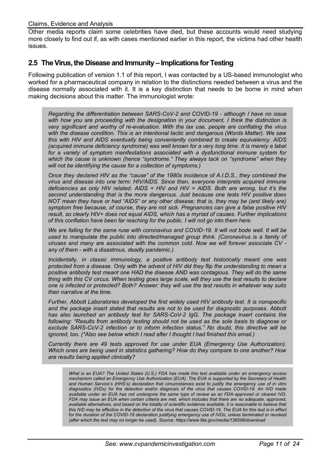Other media reports claim some celebrities have died, but these accounts would need studying more closely to find out if, as with cases mentioned earlier in this report, the victims had other health issues.

## <span id="page-10-0"></span>**2.5 The Virus, the Disease and Immunity – Implications for Testing**

Following publication of version 1.1 of this report, I was contacted by a US-based immunologist who worked for a pharmaceutical company in relation to the distinctions needed between a virus and the disease normally associated with it. It is a key distinction that needs to be borne in mind when making decisions about this matter. The immunologist wrote:

*Regarding the differentiation between SARS-CoV-2 and COVID-19 - although I have no issue with how you are proceeding with the designation in your document, I think the distinction is very significant and worthy of re-evaluation. With the lax use, people are conflating the virus with the disease condition. This is an intentional tactic and dangerous (Words Matter). We saw this with HIV and AIDS eventually being conveniently combined to create equivalency. AIDS (acquired immune deficiency syndrome) was well known for a very long time. It is merely a label for a variety of symptom manifestations associated with a dysfunctional immune system for which the cause is unknown (hence "syndrome." They always tack on "syndrome" when they will not be identifying the cause for a collection of symptoms.)*

*Once they declared HIV as the "cause" of the 1980s incidence of A.I.D.S., they combined the virus and disease into one term: HIV/AIDS. Since then, everyone interprets acquired immune deficiencies as only HIV related. AIDS = HIV and HIV = AIDS. Both are wrong, but it's the second understanding that is the more dangerous. Just because one tests HIV positive does NOT mean they have or had "AIDS" or any other disease; that is, they may be (and likely are) symptom free because, of course, they are not sick. Pregnancies can give a false positive HIV result, so clearly HIV+ does not equal AIDS, which has a myriad of causes. Further implications of this conflation have been far reaching for the public. I will not go into them here.*

*We are falling for the same ruse with coronavirus and COVID-19. It will not bode well. It will be*  used to manipulate the public into directed/managed group think. (Coronavirus is a family of *viruses and many are associated with the common cold. Now we will forever associate CV any of them - with a disastrous, deadly pandemic.)*

*Incidentally, in classic immunology, a positive antibody test historically meant one was protected from a disease. Only with the advent of HIV did they flip the understanding to mean a positive antibody test meant one HAD the disease AND was contagious. They will do the same thing with this CV circus. When testing goes large scale, will they use the test results to declare one is infected or protected? Both? Answer: they will use the test results in whatever way suits their narrative at the time.*

*Further, Abbott Laboratories developed the first widely used HIV antibody test. It is nonspecific and the package insert stated that results are not to be used for diagnostic purposes. Abbott has also launched an antibody test for SARS-CoV-2 IgG. The package insert contains the following: "Results from antibody testing should not be used as the sole basis to diagnose or exclude SARS-CoV-2 infection or to inform infection status." No doubt, this directive will be ignored, too. (\*Also see below which I read after I thought I had finished this email.)*

*Currently there are 49 tests approved for use under EUA (Emergency Use Authorization). Which ones are being used in statistics gathering? How do they compare to one another? How are results being applied clinically?*

*What is an EUA? The United States (U.S.) FDA has made this test available under an emergency access mechanism called an Emergency Use Authorization (EUA). The EUA is supported by the Secretary of Health and Human Service's (HHS's) declaration that circumstances exist to justify the emergency use of in vitro diagnostics (IVDs) for the detection and/or diagnosis of the virus that causes COVID-19. An IVD made available under an EUA has not undergone the same type of review as an FDA-approved or cleared IVD. FDA may issue an EUA when certain criteria are met, which includes that there are no adequate, approved, available alternatives, and based on the totality of scientific evidence available, it is reasonable to believe that this IVD may be effective in the detection of the virus that causes COVID-19. The EUA for this test is in effect for the duration of the COVID-19 declaration justifying emergency use of IVDs, unless terminated or revoked (after which the test may no longer be used). Source[: https://www.fda.gov/media/136599/download](https://www.fda.gov/media/136599/download)*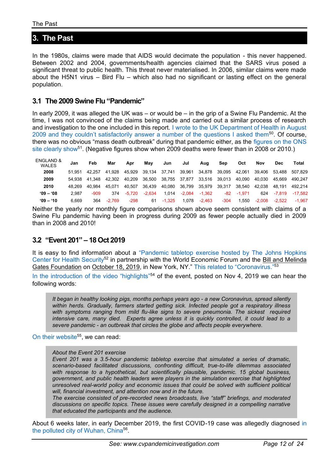## <span id="page-11-0"></span>**3. The Past**

In the 1980s, claims were made that AIDS would decimate the population - this never happened. Between 2002 and 2004, governments/health agencies claimed that the SARS virus posed a significant threat to public health. This threat never materialised. In 2006, similar claims were made about the H5N1 virus – Bird Flu – which also had no significant or lasting effect on the general population.

## <span id="page-11-1"></span>**3.1 The 2009 Swine Flu "Pandemic"**

In early 2009, it was alleged the UK was – or would be – in the grip of a Swine Flu Pandemic. At the time, I was not convinced of the claims being made and carried out a similar process of research and investigation to the one included in this report. [I wrote to the UK Department of Health in August](http://checktheevidencecom.ipage.com/checktheevidence.com/pdf/Swine%20Flu%20-%20DH%20and%20Derbs%20PCT%20response-2020%20with%20Original%20Response%20Attached-28-09-2009.pdf)  [2009 and they couldn't satisfactorily answer a number of the questions I asked them](http://checktheevidencecom.ipage.com/checktheevidence.com/pdf/Swine%20Flu%20-%20DH%20and%20Derbs%20PCT%20response-2020%20with%20Original%20Response%20Attached-28-09-2009.pdf)<sup>50</sup>. Of course, there was no obvious "mass death outbreak" during that pandemic either, as the [figures on the ONS](https://www.ons.gov.uk/peoplepopulationandcommunity/birthsdeathsandmarriages/deaths/datasets/monthlyfiguresondeathsregisteredbyareaofusualresidence)  [site clearly show](https://www.ons.gov.uk/peoplepopulationandcommunity/birthsdeathsandmarriages/deaths/datasets/monthlyfiguresondeathsregisteredbyareaofusualresidence)<sup>51</sup>. (Negative figures show when 2009 deaths were fewer than in 2008 or 2010.)

| <b>ENGLAND &amp;</b><br><b>WALES</b> | Jan    | Feb    | Mar      | Apr      | Mav      | Jun      | Jul      | Aua      | Sep    | Oct      | <b>Nov</b> | Dec      | Total     |
|--------------------------------------|--------|--------|----------|----------|----------|----------|----------|----------|--------|----------|------------|----------|-----------|
| 2008                                 | 51 951 | 42.257 | 41.928   | 45.929   | 39.134   | 37.741   | 39.961   | 34.878   | 39.095 | 42.061   | 39.406     | 53.488   | 507.829   |
| 2009                                 | 54 938 | 41.348 | 42.302   | 40.209   | 36.500   | 38.755   | 37.877   | 33.516   | 39.013 | 40.090   | 40.030     | 45.669   | 490.247   |
| 2010                                 | 48 269 | 40.984 | 45.071   | 40.507   | 36.439   | 40.080   | 36.799   | 35.979   | 39.317 | 38.540   | 42.038     | 48.191   | 492.214   |
| $09 - 08$                            | 2.987  | -909   | 374      | $-5.720$ | $-2.634$ | .014     | $-2.084$ | $-1.362$ | -82    | $-1.971$ | 624        | $-7.819$ | $-17.582$ |
| $109 - 10$                           | 6.669  | 364    | $-2.769$ | $-298$   | 61       | $-1.325$ | 1.078    | $-2.463$ | $-304$ | .550     | $-2.008$   | $-2.522$ | $-1.967$  |

Neither the yearly nor monthly figure comparisons shown above seem consistent with claims of a Swine Flu pandemic having been in progress during 2009 as fewer people actually died in 2009 than in 2008 and 2010!

## <span id="page-11-2"></span>**3.2 "Event 201" – 18 Oct 2019**

It is easy to find information about a "Pandemic tabletop exercise hosted by The Johns Hopkins [Center for Health Security](https://www.youtube.com/watch?v=f1jV3tJ2Lqw)<sup>52</sup> in partnership with the World Economic Forum and the Bill and Melinda Gates Foundation on October 18, 2019, in New York, NY." [This related to "](https://hub.jhu.edu/2019/11/06/event-201-health-security/)Coronavirus."<sup>53</sup>

[In the introduction of the video "highlights"](https://www.youtube.com/watch?v=AoLw-Q8X174)<sup>54</sup> of the event, posted on Nov 4, 2019 we can hear the following words:

*It began in healthy looking pigs, months perhaps years ago - a new Coronavirus, spread silently within herds. Gradually, farmers started getting sick. Infected people got a respiratory illness*  with symptoms ranging from mild flu-like signs to severe pneumonia. The sickest required *intensive care, many died. Experts agree unless it is quickly controlled, it could lead to a severe pandemic - an outbreak that circles the globe and affects people everywhere.*

[On their website](http://www.centerforhealthsecurity.org/event201/about)<sup>55</sup>, we can read:

#### *About the Event 201 exercise*

*Event 201 was a 3.5-hour pandemic tabletop exercise that simulated a series of dramatic, scenario-based facilitated discussions, confronting difficult, true-to-life dilemmas associated with response to a hypothetical, but scientifically plausible, pandemic. 15 global business, government, and public health leaders were players in the simulation exercise that highlighted unresolved real-world policy and economic issues that could be solved with sufficient political will, financial investment, and attention now and in the future.*

*The exercise consisted of pre-recorded news broadcasts, live "staff" briefings, and moderated discussions on specific topics. These issues were carefully designed in a compelling narrative that educated the participants and the audience.*

About 6 weeks later, in early December 2019, the first COVID-19 case was allegedly diagnosed [in](https://www.bloomberg.com/features/2020-china-wuhan-pollution/)  [the polluted city of Wuhan, China](https://www.bloomberg.com/features/2020-china-wuhan-pollution/)<sup>56</sup>.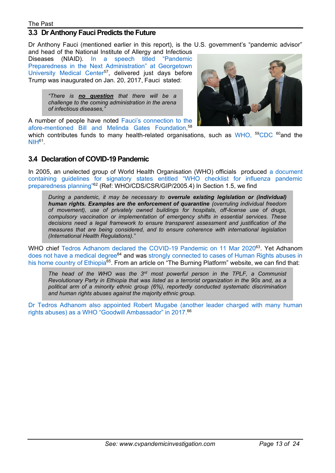## <span id="page-12-0"></span>**3.3 Dr Anthony Fauci Predicts the Future**

Dr Anthony Fauci (mentioned earlier in this report), is the U.S. government's "pandemic advisor"

and head of the National Institute of Allergy and Infectious Diseases (NIAID). [In a speech titled "Pandemic](https://www.huffingtonpost.co.uk/entry/fauci-warned-of-trump-pandemic-2017_n_5e8a0548c5b6e7d76c65c8a4)  [Preparedness in the Next Administration" at Georgetown](https://www.huffingtonpost.co.uk/entry/fauci-warned-of-trump-pandemic-2017_n_5e8a0548c5b6e7d76c65c8a4)  [University Medical Center](https://www.huffingtonpost.co.uk/entry/fauci-warned-of-trump-pandemic-2017_n_5e8a0548c5b6e7d76c65c8a4)<sup>57</sup>, delivered just days before Trump was inaugurated on Jan. 20, 2017, Fauci stated:

> *"There is no question that there will be a challenge to the coming administration in the arena of infectious diseases,"*



A number of people have noted [Fauci's connection to the](https://nationalfile.com/president-trump-vs-bill-gates-on-treatment-fauci-has-a-100-million-conflict-of-interest/)  [afore-mentioned Bill and Melinda Gates Foundation,](https://nationalfile.com/president-trump-vs-bill-gates-on-treatment-fauci-has-a-100-million-conflict-of-interest/)<sup>58</sup>

which contributes funds to many health-related organisations, such as  $WHO$ ,  $^{59}$ [CDC](https://www.cdc.gov/nutrition/micronutrient-malnutrition/projects/malnutrition-and-innovative-technologies.html)  $^{60}$  and the  $NIH<sup>61</sup>$  $NIH<sup>61</sup>$ .

## <span id="page-12-1"></span>**3.4 Declaration of COVID-19 Pandemic**

In 2005, an unelected group of World Health Organisation (WHO) officials produced [a document](https://www.who.int/influenza/resources/documents/FluCheck6web.pdf)  [containing guidelines for signatory states entitled "WHO checklist for influenza pandemic](https://www.who.int/influenza/resources/documents/FluCheck6web.pdf)  [preparedness planning"](https://www.who.int/influenza/resources/documents/FluCheck6web.pdf)<sup>62</sup> (Ref: WHO/CDS/CSR/GIP/2005.4) In Section 1.5, we find

*During a pandemic, it may be necessary to overrule existing legislation or (individual) human rights. Examples are the enforcement of quarantine (overruling individual freedom of movement), use of privately owned buildings for hospitals, off-license use of drugs, compulsory vaccination or implementation of emergency shifts in essential services. These decisions need a legal framework to ensure transparent assessment and justification of the measures that are being considered, and to ensure coherence with international legislation (International Health Regulations)."*

WHO chief [Tedros Adhanom declared the COVID-19 Pandemic on 11 Mar 2020](https://www.detroitnews.com/story/news/world/2020/03/11/declares-virus-crisis-now-pandemic/111415246/)<sup>63</sup>. Yet Adhanom [does not have a medical degree](https://www.bbc.co.uk/news/world-africa-51720184)<sup>64</sup> and was strongly connected to cases of Human Rights abuses in [his home country of Ethiopia](https://www.opride.com/2017/05/11/case-director-general-candidate-tedros-adhanom/)<sup>65</sup>. From an article on "The Burning Platform" website, we can find that:

*The head of the WHO was the 3rd most powerful person in the TPLF, a Communist Revolutionary Party in Ethiopia that was listed as a terrorist organization in the 90s and, as a political arm of a minority ethnic group (6%), reportedly conducted systematic discrimination and human rights abuses against the majority ethnic group.*

[Dr Tedros Adhanom also appointed Robert Mugabe](https://www.theburningplatform.com/2020/04/04/the-crimes-of-tedros-adhanom/) (another leader charged with many human [rights abuses\) as a WHO "Goodwill Ambassador" in 2017.](https://www.theburningplatform.com/2020/04/04/the-crimes-of-tedros-adhanom/)<sup>66</sup>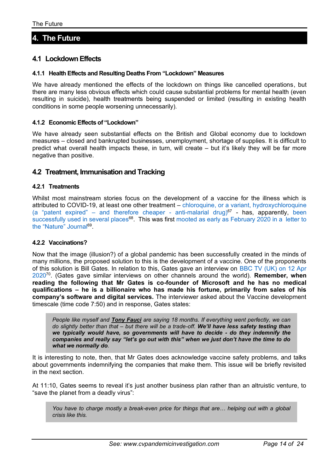## <span id="page-13-0"></span>**4. The Future**

## <span id="page-13-1"></span>**4.1 Lockdown Effects**

#### **4.1.1 Health Effects and Resulting Deaths From "Lockdown" Measures**

We have already mentioned the effects of the lockdown on things like cancelled operations, but there are many less obvious effects which could cause substantial problems for mental health (even resulting in suicide), health treatments being suspended or limited (resulting in existing health conditions in some people worsening unnecessarily).

#### **4.1.2 Economic Effects of "Lockdown"**

We have already seen substantial effects on the British and Global economy due to lockdown measures – closed and bankrupted businesses, unemployment, shortage of supplies. It is difficult to predict what overall health impacts these, in turn, will create – but it's likely they will be far more negative than positive.

## <span id="page-13-2"></span>**4.2 Treatment, Immunisation and Tracking**

#### **4.2.1 Treatments**

Whilst most mainstream stories focus on the development of a vaccine for the illness which is attributed to COVID-19, at least one other treatment – chloroquine, [or a variant, hydroxychloroquine](https://www.mediterranee-infection.com/hydroxychloroquine-and-azithromycin-as-a-treatment-of-covid-19/)  (a "patent expired" – [and therefore cheaper -](https://www.mediterranee-infection.com/hydroxychloroquine-and-azithromycin-as-a-treatment-of-covid-19/) anti-malarial drug) $67$  - has, apparently, been [successfully used in several places](https://www.forbes.com/sites/lisettevoytko/2020/03/22/new-york-to-begin-clinical-trials-for-coronavirus-treatment-tuesday-cuomo-says/)<sup>68</sup>. This was first mooted as early as February 2020 in a letter to [the "Nature" Journal](https://www.nature.com/articles/s41422-020-0282-0)<sup>69</sup>.

#### **4.2.2 Vaccinations?**

Now that the image (illusion?) of a global pandemic has been successfully created in the minds of many millions, the proposed solution to this is the development of a vaccine. One of the proponents of this solution is Bill Gates. In relation to this, Gates gave an interview on [BBC TV \(UK\) on 12 Apr](https://www.bbc.co.uk/programmes/p0896rpg)  [2020](https://www.bbc.co.uk/programmes/p0896rpg)<sup>70</sup>. (Gates gave similar interviews on other channels around the world). **Remember, when reading the following that Mr Gates is co-founder of Microsoft and he has no medical qualifications – he is a billionaire who has made his fortune, primarily from sales of his company's software and digital services.** The interviewer asked about the Vaccine development timescale (time code 7:50) and in response, Gates states:

*People like myself and Tony Fauci are saying 18 months. If everything went perfectly, we can do slightly better than that – but there will be a trade-off. We'll have less safety testing than we typically would have, so governments will have to decide - do they indemnify the companies and really say "let's go out with this" when we just don't have the time to do what we normally do.*

It is interesting to note, then, that Mr Gates does acknowledge vaccine safety problems, and talks about governments indemnifying the companies that make them. This issue will be briefly revisited in the next section.

At 11:10, Gates seems to reveal it's just another business plan rather than an altruistic venture, to "save the planet from a deadly virus":

*You have to charge mostly a break-even price for things that are… helping out with a global crisis like this.*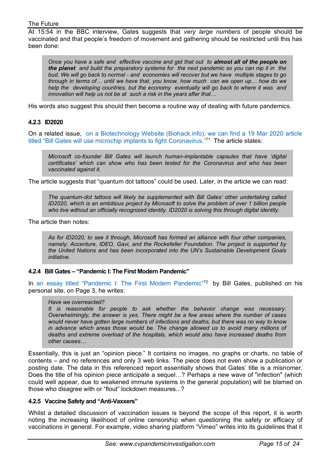#### The Future

At 15:54 in the BBC interview, Gates suggests that *very large numbers* of people should be vaccinated and that people's freedom of movement and gathering should be restricted until this has been done:

*Once you have a safe and effective vaccine and get that out to almost all of the people on the planet and build the preparatory systems for the next pandemic so you can nip it in the bud. We will go back to normal - and economies will recover but we have multiple stages to go through in terms of… until we have that, you know, how much can we open up… how do we help the developing countries, but the economy eventually will go back to where it was and innovation will help us not be at such a risk in the years after that…* 

His words also suggest this should then become a routine way of dealing with future pandemics.

#### **4.2.3 ID2020**

On a related issue, [on a Biotechnology Website \(Biohack.info\), we can find a 19 Mar 2020 article](https://biohackinfo.com/news-bill-gates-id2020-vaccine-implant-covid-19-digital-certificates/)  t[itled "Bill Gates will use microchip implants to fight](https://biohackinfo.com/news-bill-gates-id2020-vaccine-implant-covid-19-digital-certificates/) Coronavirus."<sup>71</sup> The article states:

*Microsoft co-founder Bill Gates will launch human-implantable capsules that have 'digital certificates' which can show who has been tested for the Coronavirus and who has been vaccinated against it.*

The article suggests that "quantum dot tattoos" could be used. Later, in the article we can read:

*The quantum-dot tattoos will likely be supplemented with Bill Gates' other undertaking called ID2020, which is an ambitious project by Microsoft to solve the problem of over 1 billion people who live without an officially recognized identity. ID2020 is solving this through digital identity.*

The article then notes:

*As for ID2020, to see it through, Microsoft has formed an alliance with four other companies, namely; Accenture, IDEO, Gavi, and the Rockefeller Foundation. The project is supported by the United Nations and has been incorporated into the UN's Sustainable Development Goals initiative.*

#### **4.2.4 Bill Gates – "Pandemic I: The First Modern Pandemic"**

In [an essay titled "Pandemic I: The First Modern Pandemic"](https://www.gatesnotes.com/media/assets/media/files/Pandemic-I-The-First-Modern-Pandemic.pdf)<sup>72</sup> by Bill Gates, published on his personal site, on Page 3, he writes:

#### *Have we overreacted?*

*It is reasonable for people to ask whether the behavior change was necessary. Overwhelmingly, the answer is yes. There might be a few areas where the number of cases would never have gotten large numbers of infections and deaths, but there was no way to know in advance which areas those would be. The change allowed us to avoid many millions of deaths and extreme overload of the hospitals, which would also have increased deaths from other causes…*

Essentially, this is just an "opinion piece." It contains no images, no graphs or charts, no table of contents – and no references and only 3 web links. The piece does not even show a publication or posting date. The data in this referenced report essentially shows that Gates' title is a misnomer. Does the title of his opinion piece anticipate a sequel…? Perhaps a new wave of "infection" (which could well appear, due to weakened immune systems in the general population) will be blamed on those who disagree with or "flout" lockdown measures...?

#### **4.2.5 Vaccine Safety and "Anti-Vaxxers"**

Whilst a detailed discussion of vaccination issues is beyond the scope of this report, it is worth noting the increasing likelihood of online censorship when questioning the safety or efficacy of vaccinations in general. For example, video sharing platform "Vimeo" writes into its guidelines that it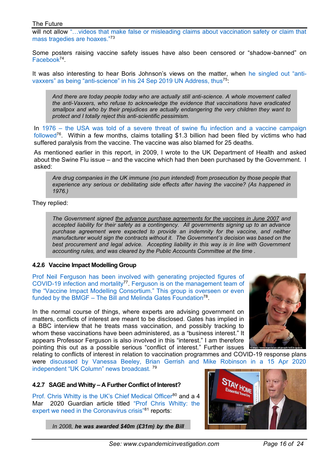will not allow "...videos that make false or misleading claims about vaccination safety or claim that [mass tragedies are hoaxes."](https://vimeo.com/help/guidelines)<sup>73</sup>

Some posters raising vaccine safety issues have also been censored or "shadow-banned" on [Facebook](https://www.washingtontimes.com/news/2019/feb/15/facebook-turns-censorship-eyes-toward-anti-vaccina/)<sup>74</sup>.

It was also interesting to hear Boris Johnson's views on the matter, when [he singled out "anti](https://www.gov.uk/government/speeches/pm-speech-to-the-un-general-assembly-24-september-2019)vaxxers" as being "anti-[science" in his 24 Sep 2019 UN Address, thus](https://www.gov.uk/government/speeches/pm-speech-to-the-un-general-assembly-24-september-2019)<sup>75</sup>:

*And there are today people today who are actually still anti-science. A whole movement called the anti-Vaxxers, who refuse to acknowledge the evidence that vaccinations have eradicated smallpox and who by their prejudices are actually endangering the very children they want to protect and I totally reject this anti-scientific pessimism.*

In 1976 – [the USA was told of a severe threat of swine flu infection and a vaccine campaign](https://www.youtube.com/watch?v=f1jV3tJ2Lqw)  [followed](https://www.youtube.com/watch?v=f1jV3tJ2Lqw)<sup>76</sup>. Within a few months, claims totalling \$1.3 billion had been filed by victims who had suffered paralysis from the vaccine. The vaccine was also blamed for 25 deaths.

As mentioned earlier in this report, in 2009, I wrote to the UK Department of Health and asked about the Swine Flu issue – and the vaccine which had then been purchased by the Government. I asked:

*Are drug companies in the UK immune (no pun intended) from prosecution by those people that experience any serious or debilitating side effects after having the vaccine? (As happened in 1976.)*

They replied:

*The Government signed the advance purchase agreements for the vaccines in June 2007 and accepted liability for their safety as a contingency. All governments signing up to an advance purchase agreement were expected to provide an indemnity for the vaccine, and neither manufacturer would sign the contracts without it. The Government's decision was based on the best procurement and legal advice. Accepting liability in this way is in line with Government accounting rules, and was cleared by the Public Accounts Committee at the time .*

#### **4.2.6 Vaccine Impact Modelling Group**

[Prof Neil Ferguson has been involved with generating projected figures of](https://twitter.com/neil_ferguson/status/1241835454707699713)  [COVID-19 infection and mortality](https://twitter.com/neil_ferguson/status/1241835454707699713)<sup>77</sup>. Ferguson is on the management team of [the "Vaccine Impact Modelling Consortium." This group is overseen or even](https://www.vaccineimpact.org/resources/VIMC_orgchart_2017.pdf)  funded by the BMGF  $-$  [The Bill and Melinda Gates Foundation](https://www.vaccineimpact.org/resources/VIMC_orgchart_2017.pdf)<sup>78</sup>.

In the normal course of things, where experts are advising government on matters, conflicts of interest are meant to be disclosed. Gates has implied in a BBC interview that he treats mass vaccination, and possibly tracking to whom these vaccinations have been administered, as a "business interest." It appears Professor Ferguson is also involved in this "interest." I am therefore pointing this out as a possible serious "conflict of interest." Further issues



relating to conflicts of interest in relation to vaccination programmes and COVID-19 response plans were [discussed by Vanessa Beeley, Brian Gerrish and Mike Robinson in a 15 Apr 2020](https://www.youtube.com/watch?v=C3ldtVWKlQI)  [independent "UK Column" news broadcast.](https://www.youtube.com/watch?v=C3ldtVWKlQI) <sup>79</sup>

## **4.2.7 SAGE and Whitty – A Further Conflict of Interest?**

[Prof. Chris Whitty is the UK's Chief Medical Officer](https://www.gov.uk/government/people/christopher-whitty.)<sup>80</sup> and a 4 Mar 2020 Guardian article titled ["Prof Chris Whitty: the](https://www.theguardian.com/society/2020/mar/04/prof-chris-whitty-the-expert-we-need-in-the-coronavirus-crisis)  [expert we need in the Coronavirus](https://www.theguardian.com/society/2020/mar/04/prof-chris-whitty-the-expert-we-need-in-the-coronavirus-crisis) crisis<sup>"81</sup> reports:

*In 2008, he was awarded \$40m (£31m) by the Bill* 

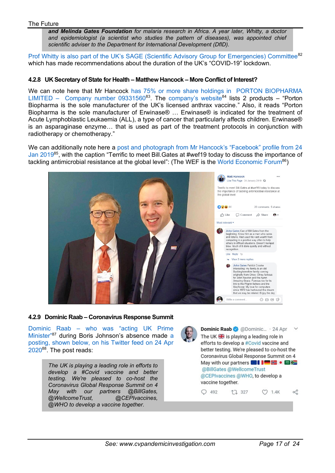#### The Future

*and Melinda Gates Foundation for malaria research in Africa. A year later, Whitty, a doctor and epidemiologist (a scientist who studies the pattern of diseases), was appointed chief scientific adviser to the Department for International Development (DfID).*

[Prof Whitty is also part of the UK's SAGE \(Scientific Advisory Group for Emergencies\) Committee](https://www.gov.uk/government/news/update-from-sage-delay-phase-modelling)<sup>82</sup> which has made recommendations about the duration of the UK's "COVID-19" lockdown.

#### **4.2.8 UK Secretary of State for Health – Matthew Hancock – More Conflict of Interest?**

We can note here that Mr Hancock [has 75% or more share holdings in PORTON BIOPHARMA](https://beta.companieshouse.gov.uk/company/09331560/persons-with-significant-control)  LIMITED – Company [number 09331560](https://beta.companieshouse.gov.uk/company/09331560/persons-with-significant-control) $83$ . The [company's website](https://www.portonbiopharma.com/products-2/)<sup>84</sup> lists 2 products – "Porton" Biopharma is the sole manufacturer of the UK's licensed anthrax vaccine." Also, it reads "Porton Biopharma is the sole manufacturer of Erwinase® … Erwinase® is indicated for the treatment of Acute Lymphoblastic Leukaemia (ALL), a type of cancer that particularly affects children. Erwinase® is an asparaginase enzyme… that is used as part of the treatment protocols in conjunction with radiotherapy or chemotherapy."

We can additionally note here a [post and photograph from Mr Hancock's "Facebook" profile from 24](https://www.facebook.com/matthancockofficial/photos/a.523654854422238/2010641649056877/?type=3&theater)  [Jan 2019](https://www.facebook.com/matthancockofficial/photos/a.523654854422238/2010641649056877/?type=3&theater)<sup>85</sup>, with the caption "Terrific to meet Bill.Gates at #wef19 today to discuss the importance of tackling antimicrobial resistance at the global level": (The WEF is the [World Economic Forum](https://www.weforum.org/focus/davos-2019)<sup>86</sup>)



#### **4.2.9 Dominic Raab – Coronavirus Response Summit**

Dominic Raab – [who was "acting UK Prime](https://www.bbc.co.uk/news/uk-politics-52064637)  [Minister"](https://www.bbc.co.uk/news/uk-politics-52064637)<sup>87</sup> during Boris Johnson's absence made [a](https://twitter.com/DominicRaab/status/1253738273949827072)  [posting, shown below, on his Twitter feed on 24 Apr](https://twitter.com/DominicRaab/status/1253738273949827072)  [2020](https://twitter.com/DominicRaab/status/1253738273949827072)<sup>88</sup>. The post reads:

> *The UK is playing a leading role in efforts to develop a #Covid vaccine and better testing. We're pleased to co-host the Coronavirus Global Response Summit on 4 May with our partners @BillGates, @WellcomeTrust, @CEPIvaccines, @WHO to develop a vaccine together.*



**Dominic Raab** @Dominic... 24 Apr The UK set is playing a leading role in efforts to develop a #Covid vaccine and better testing. We're pleased to co-host the Coronavirus Global Response Summit on 4 May with our partners **BIIII:** • **EXE** @BillGates @WellcomeTrust @CEPIvaccines @WHO, to develop a vaccine together.  $\alpha$  $O$  492 LJ 327  $O$  1.4K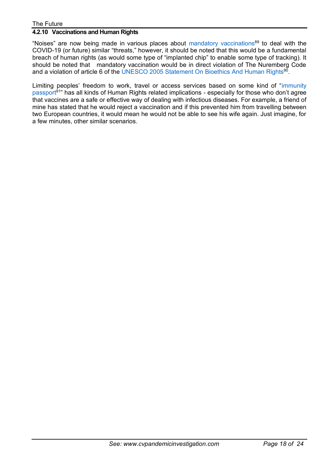### **4.2.10 Vaccinations and Human Rights**

"Noises" are now being made in various places about [mandatory vaccinations](https://metro.co.uk/2019/09/30/children-forced-compulsory-vaccination-government-plans-10830352/amp/)<sup>89</sup> to deal with the COVID-19 (or future) similar "threats," however, it should be noted that this would be a fundamental breach of human rights (as would some type of "implanted chip" to enable some type of tracking). It should be noted that mandatory vaccination would be in direct violation of The Nuremberg Code and a violation of article 6 of the [UNESCO 2005 Statement On Bioethics And Human Rights](http://unesdoc.unesco.org/images/0014/001461/146180E.pdf)<sup>90</sup>.

Limiting peoples' freedom to work, travel or access services based on some kind of "immunity [passport](https://www.theguardian.com/world/2020/mar/30/immunity-passports-could-speed-up-return-to-work-after-covid-19)<sup>91</sup>" has all kinds of Human Rights related implications - especially for those who don't agree that vaccines are a safe or effective way of dealing with infectious diseases. For example, a friend of mine has stated that he would reject a vaccination and if this prevented him from travelling between two European countries, it would mean he would not be able to see his wife again. Just imagine, for a few minutes, other similar scenarios.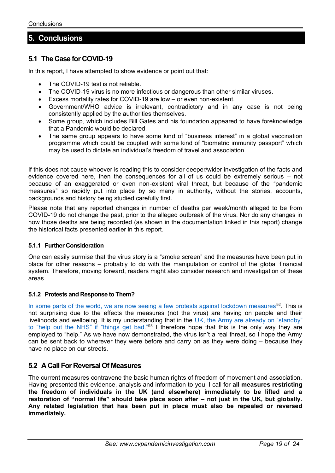## <span id="page-18-0"></span>**5. Conclusions**

## <span id="page-18-1"></span>**5.1 The Case for COVID-19**

In this report, I have attempted to show evidence or point out that:

- The COVID-19 test is not reliable.
- The COVID-19 virus is no more infectious or dangerous than other similar viruses.
- Excess mortality rates for COVID-19 are low or even non-existent.
- Government/WHO advice is irrelevant, contradictory and in any case is not being consistently applied by the authorities themselves.
- Some group, which includes Bill Gates and his foundation appeared to have foreknowledge that a Pandemic would be declared.
- The same group appears to have some kind of "business interest" in a global vaccination programme which could be coupled with some kind of "biometric immunity passport" which may be used to dictate an individual's freedom of travel and association.

If this does not cause whoever is reading this to consider deeper/wider investigation of the facts and evidence covered here, then the consequences for all of us could be extremely serious – not because of an exaggerated or even non-existent viral threat, but because of the "pandemic measures" so rapidly put into place by so many in authority, without the stories, accounts, backgrounds and history being studied carefully first.

Please note that any reported changes in number of deaths per week/month alleged to be from COVID-19 do not change the past, prior to the alleged outbreak of the virus. Nor do any changes in how those deaths are being recorded (as shown in the documentation linked in this report) change the historical facts presented earlier in this report.

#### **5.1.1 Further Consideration**

One can easily surmise that the virus story is a "smoke screen" and the measures have been put in place for other reasons – probably to do with the manipulation or control of the global financial system. Therefore, moving forward, readers might also consider research and investigation of these areas.

#### **5.1.2 Protests and Response to Them?**

[In some parts of the world, we are now seeing a few protests against lockdown measures](https://www.youtube.com/watch?v=QRuYu8-_w18)<sup>92</sup>. This is not surprising due to the effects the measures (not the virus) are having on people and their livelihoods and wellbeing. It is my understanding that in the UK, the Army are already on "standby" [to "help out the NHS" if "things get bad."](https://www.dailystar.co.uk/news/latest-news/coronavirus-army-troops-ready-hit-21695383)<sup>93</sup> I therefore hope that this is the only way they are employed to "help." As we have now demonstrated, the virus isn't a real threat, so I hope the Army can be sent back to wherever they were before and carry on as they were doing – because they have no place on our streets.

## <span id="page-18-2"></span>**5.2 A Call For Reversal Of Measures**

The current measures contravene the basic human rights of freedom of movement and association. Having presented this evidence, analysis and information to you, I call for **all measures restricting the freedom of individuals in the UK (and elsewhere) immediately to be lifted and a restoration of "normal life" should take place soon after – not just in the UK, but globally. Any related legislation that has been put in place must also be repealed or reversed immediately.**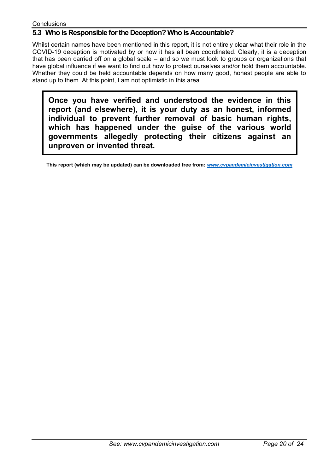## <span id="page-19-0"></span>**5.3 Who is Responsible for the Deception? Who is Accountable?**

Whilst certain names have been mentioned in this report, it is not entirely clear what their role in the COVID-19 deception is motivated by or how it has all been coordinated. Clearly, it is a deception that has been carried off on a global scale – and so we must look to groups or organizations that have global influence if we want to find out how to protect ourselves and/or hold them accountable. Whether they could be held accountable depends on how many good, honest people are able to stand up to them. At this point, I am not optimistic in this area.

**Once you have verified and understood the evidence in this report (and elsewhere), it is your duty as an honest, informed individual to prevent further removal of basic human rights, which has happened under the guise of the various world governments allegedly protecting their citizens against an unproven or invented threat.**

**This report (which may be updated) can be downloaded free from:** *[www.cvpandemicinvestigation.com](http://www.cvpandemicinvestigation.com/)*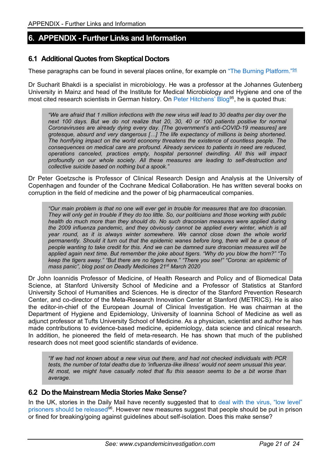## <span id="page-20-0"></span>**6. APPENDIX - Further Links and Information**

## <span id="page-20-1"></span>**6.1 Additional Quotes from Skeptical Doctors**

These paragraphs can be found in several places online, for example on ["The Burning Platform."](https://www.theburningplatform.com/2020/03/26/12-experts-question-the-covid-19-panic/)<sup>94</sup>

Dr Sucharit Bhakdi is a specialist in microbiology. He was a professor at the Johannes Gutenberg University in Mainz and head of the Institute for Medical Microbiology and Hygiene and one of the most cited research scientists in German history. On [Peter Hitchens' Blog](https://hitchensblog.mailonsunday.co.uk/2020/03/an-expert-says-the-current-response-to-the-coronavirus-is-grotesque-absurd-and-very-dangerous.html)<sup>95</sup>, he is quoted thus:

*"We are afraid that 1 million infections with the new virus will lead to 30 deaths per day over the next 100 days. But we do not realize that 20, 30, 40 or 100 patients positive for normal Coronaviruses are already dying every day. [The government's anti-COVID-19 measures] are grotesque, absurd and very dangerous […] The life expectancy of millions is being shortened. The horrifying impact on the world economy threatens the existence of countless people. The consequences on medical care are profound. Already services to patients in need are reduced, operations canceled, practices empty, hospital personnel dwindling. All this will impact profoundly on our whole society. All these measures are leading to self-destruction and collective suicide based on nothing but a spook."*

Dr Peter Goetzsche is Professor of Clinical Research Design and Analysis at the University of Copenhagen and founder of the Cochrane Medical Collaboration. He has written several books on corruption in the field of medicine and the power of big pharmaceutical companies.

"Our main problem is that no one will ever get in trouble for measures that are too draconian. *They will only get in trouble if they do too little. So, our politicians and those working with public health do much more than they should do. No such draconian measures were applied during the 2009 influenza pandemic, and they obviously cannot be applied every winter, which is all year round, as it is always winter somewhere. We cannot close down the whole world permanently. Should it turn out that the epidemic wanes before long, there will be a queue of people wanting to take credit for this. And we can be damned sure draconian measures will be applied again next time. But remember the joke about tigers. "Why do you blow the horn?" "To keep the tigers away." "But there are no tigers here." "There you see!" "Corona: an epidemic of mass panic", blog post on Deadly Medicines 21st March 2020*

Dr John Ioannidis Professor of Medicine, of Health Research and Policy and of Biomedical Data Science, at Stanford University School of Medicine and a Professor of Statistics at Stanford University School of Humanities and Sciences. He is director of the Stanford Prevention Research Center, and co-director of the Meta-Research Innovation Center at Stanford (METRICS). He is also the editor-in-chief of the European Journal of Clinical Investigation. He was chairman at the Department of Hygiene and Epidemiology, University of Ioannina School of Medicine as well as adjunct professor at Tufts University School of Medicine. As a physician, scientist and author he has made contributions to evidence-based medicine, epidemiology, data science and clinical research. In addition, he pioneered the field of meta-research. He has shown that much of the published research does not meet good scientific standards of evidence.

*"If we had not known about a new virus out there, and had not checked individuals with PCR tests, the number of total deaths due to 'influenza-like illness' would not seem unusual this year. At most, we might have casually noted that flu this season seems to be a bit worse than average.*

## <span id="page-20-2"></span>**6.2 Do the Mainstream MediaStories Make Sense?**

In the UK, stories in the Daily Mail have recently suggested that to deal with the virus, "low level" [prisoners should be released](https://www.dailymail.co.uk/news/article-8090833/Coronavirus-crisis-UK-thousands-prisoners-released.html)<sup>96</sup>. However new measures suggest that people should be put in prison or fined for breaking/going against guidelines about self-isolation. Does this make sense?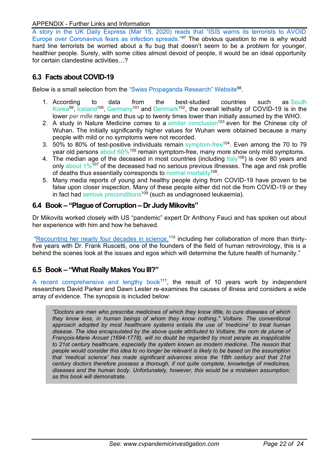APPENDIX - Further Links and Information

[A story in the UK Daily Express \(Mar 15, 2020\) reads that "ISIS warns its terrorists to AVOID](https://www.express.co.uk/news/world/1255422/ISIS-news-terrorist-group-Europe-coronavirus-terrorism-Syria-Iraq-infection)  Europe over Coronavirus [fears as infection spreads."](https://www.express.co.uk/news/world/1255422/ISIS-news-terrorist-group-Europe-coronavirus-terrorism-Syria-Iraq-infection)<sup>97</sup> The obvious question to me is why would hard line terrorists be worried about a flu bug that doesn't seem to be a problem for younger, healthier people. Surely, with some cities almost devoid of people, it would be an ideal opportunity for certain clandestine activities 2

## <span id="page-21-0"></span>**6.3 Facts about COVID-19**

Below is a small selection from the ["Swiss Propaganda Research" Website](https://swprs.org/a-swiss-doctor-on-covid-19/)<sup>98</sup>.

- 1. According to data from the best-studied countries such as [South](https://www.businessinsider.com/south-korea-coronavirus-testing-death-rate-2020-3?op=1)  [Korea](https://www.businessinsider.com/south-korea-coronavirus-testing-death-rate-2020-3?op=1)<sup>99</sup>, [Iceland](https://www.covid.is/data)<sup>100</sup>, [Germany](https://www.t-online.de/gesundheit/krankheiten-symptome/id_87680236/lockerung-der-corona-massnahmen-ergebnisse-der-heinsberg-studie-machen-hoffnung.html)<sup>101</sup> and [Denmark](https://www.dr.dk/nyheder/indland/doedelighed-skal-formentlig-taelles-i-promiller-danske-blodproever-kaster-nyt-lys)<sup>102</sup>, the overall lethality of COVID-19 is in the lower *per mille* range and thus up to twenty times lower than initially assumed by the WHO.
- 2. A study in Nature Medicine comes to a [similar conclusion](https://www.nature.com/articles/s41591-020-0822-7)<sup>103</sup> even for the Chinese city of Wuhan. The initially significantly higher values for Wuhan were obtained because a many people with mild or no symptoms were not recorded.
- 3. 50% to 80% of test-positive individuals remain [symptom-free](https://www.bmj.com/content/369/bmj.m1375)<sup>104</sup>. Even among the 70 to 79 year old persons [about 60%](https://www.niid.go.jp/niid/en/2019-ncov-e/9407-covid-dp-fe-01.html)<sup>105</sup> remain symptom-free, many more show only mild symptoms.
- 4. The median age of the deceased in most countries (including  $\frac{1}{\text{tal}}\frac{y^{106}}{y^{106}}$ ) is over 80 years and only about  $1\%$ <sup>107</sup> of the deceased had no serious previous illnesses. The age and risk profile of deaths thus essentially corresponds to [normal mortality](https://www.vienna.at/analyse-zeigt-covid-19-opferkurve-entspricht-normaler-mortalitaet/6581246)<sup>108</sup>.
- 5. Many media reports of young and healthy people dying from COVID-19 have proven to be false upon closer inspection. Many of these people either did not die from COVID-19 or they in fact had [serious preconditions](https://sports.yahoo.com/spanish-football-coach-francisco-garcia-163153573.html)<sup>109</sup> (such as undiagnosed leukaemia).

## <span id="page-21-1"></span>**6.4 Book – "Plague of Corruption – Dr Judy Mikovits"**

Dr Mikovits worked closely with US "pandemic" expert Dr Anthony Fauci and has spoken out about her experience with him and how he behaved.

"[Recounting her nearly four decades in science,](https://www.amazon.co.uk/Plague-Corruption-Restoring-Promise-Science-ebook/dp/B07SNV4GNR)<sup>110</sup> including her collaboration of more than thirtyfive years with Dr. Frank Ruscetti, one of the founders of the field of human retrovirology, this is a behind the scenes look at the issues and egos which will determine the future health of humanity."

## <span id="page-21-2"></span>**6.5 Book – "What Really Makes You Ill?"**

[A recent comprehensive and lengthy book](https://www.amazon.com/gp/product/1673104037/)<sup>111</sup>, the result of 10 years work by independent researchers David Parker and Dawn Lester re-examines the causes of illness and considers a wide array of evidence. The synopsis is included below:

*"Doctors are men who prescribe medicines of which they know little, to cure diseases of which they know less, in human beings of whom they know nothing." Voltaire. The conventional approach adopted by most healthcare systems entails the use of 'medicine' to treat human disease. The idea encapsulated by the above quote attributed to Voltaire, the nom de plume of François-Marie Arouet (1694-1778), will no doubt be regarded by most people as inapplicable*  to 21st century healthcare, especially the system known as modern medicine. The reason that *people would consider this idea to no longer be relevant is likely to be based on the assumption that 'medical science' has made significant advances since the 18th century and that 21st century doctors therefore possess a thorough, if not quite complete, knowledge of medicines, diseases and the human body. Unfortunately, however, this would be a mistaken assumption; as this book will demonstrate.*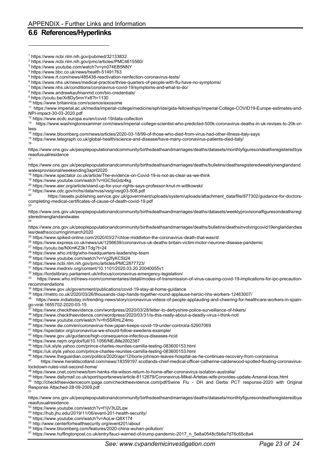## <span id="page-22-0"></span>**6.6 References/Hyperlinks**

- https://www.bbc.co.uk/news/health-51491763
- <sup>5</sup> https://www.rt.com/news/485438-reactivation-reinfection-coronavirus-tests/
- <sup>6</sup> https://www.nhs.uk/news/medical-practice/three-quarters-of-people-with-flu-have-no-symptoms/
- https://www.nhs.uk/conditions/coronavirus-covid-19/symptoms-and-what-to-do/
- 8 https://www.andrewkaufmanmd.com/bio-credentials/
- https://youtu.be/Xr8Dy5mnYx8?t=1130

https://www.britannica.com/science/exosome

 https://www.imperial.ac.uk/media/imperial-college/medicine/sph/ide/gida-fellowships/Imperial-College-COVID19-Europe-estimates-and-NPI-impact-30-03-2020.pdf

<sup>12</sup> https://www.ecdc.europa.eu/en/covid-19/data-collection<br><sup>13</sup> https://www.washingtonexaminer.com/news/imperial-c

 https://www.washingtonexaminer.com/news/imperial-college-scientist-who-predicted-500k-coronavirus-deaths-in-uk-revises-to-20k-orless

https://www.bloomberg.com/news/articles/2020-03-18/99-of-those-who-died-from-virus-had-other-illness-italy-says

https://www.telegraph.co.uk/global-health/science-and-disease/have-many-coronavirus-patients-died-italy/

https://www.ons.gov.uk/peoplepopulationandcommunity/birthsdeathsandmarriages/deaths/datasets/monthlyfiguresondeathsregisteredbya reaofusualresidence

https://www.ons.gov.uk/peoplepopulationandcommunity/birthsdeathsandmarriages/deaths/bulletins/deathsregisteredweeklyinenglandand walesprovisional/weekending3april2020

- https://www.spectator.co.uk/article/The-evidence-on-Covid-19-is-not-as-clear-as-we-think
- https://www.youtube.com/watch?v=lGC5sGdz4kg

https://www.aier.org/article/stand-up-for-your-rights-says-professor-knut-m-wittkowski/

<sup>21</sup> https://www.cdc.gov/nchs/data/nvss/vsrg/vsrg03-508.pdf<br><sup>22</sup> https://googta.publishing.gor.jpg.gov.uk/governm

 https://assets.publishing.service.gov.uk/government/uploads/system/uploads/attachment\_data/file/877302/guidance-for-doctorscompleting-medical-certificates-of-cause-of-death-covid-19.pdf

https://www.ons.gov.uk/peoplepopulationandcommunity/birthsdeathsandmarriages/deaths/datasets/weeklyprovisionalfiguresondeathsregi steredinenglandandwales

https://www.ons.gov.uk/peoplepopulationandcommunity/birthsdeathsandmarriages/deaths/bulletins/deathsinvolvingcovid19englandandwa les/deathsoccurringinmarch2020

- https://www.spiked-online.com/2020/03/27/chloe-middleton-the-coronavirus-death-that-wasnt/
- https://www.express.co.uk/news/uk/1256639/coronavirus-uk-deaths-britain-victim-motor-neurone-disease-pandemic
- https://youtu.be/NXmKZ3k1Tdg?t=24
- https://www.who.int/dg/who-headquarters-leadership-team
- https://www.youtube.com/watch?v=Vg2fyKCSt24
- https://www.ncbi.nlm.nih.gov/pmc/articles/PMC2877723/
- https://www.medrxiv.org/content/10.1101/2020.03.20.20040055v1
- https://lordslibrary.parliament.uk/infocus/coronavirus-emergency-legislation/
- https://www.who.int/news-room/commentaries/detail/modes-of-transmission-of-virus-causing-covid-19-implications-for-ipc-precautionrecommendations
- https://www.gov.uk/government/publications/covid-19-stay-at-home-guidance
- https://metro.co.uk/2020/03/26/thousands-clap-hands-together-round-applause-heroic-nhs-workers-12463007/
- https://www.indiatoday.in/trending-news/story/coronavirus-videos-of-people-applauding-and-cheering-for-healthcare-workers-in-spaingo-viral-1655702-2020-03-15
- https://www.checktheevidence.com/wordpress/2020/03/28/letter-to-derbyshire-police-surveillance-of-hikers/
- 38 https://www.checktheevidence.com/wordpress/2020/03/31/is-this-really-about-a-deadly-virus-i-think-not/
- https://www.youtube.com/watch?v=fn5SRmLZ4mo
- https://www.dw.com/en/coronavirus-how-japan-keeps-covid-19-under-control/a-52907069
- https://spectator.org/coronavirus-we-should-follow-swedens-example/
- https://www.gov.uk/guidance/high-consequence-infectious-diseases-hcid
- https://www.nejm.org/doi/full/10.1056/NEJMe2002387
- https://uk.style.yahoo.com/prince-charles-reunites-camilla-testing-083600153.html
- https://uk.style.yahoo.com/prince-charles-reunites-camilla-testing-083600153.html
- https://www.theguardian.com/politics/2020/apr/12/boris-johnson-leaves-hospital-as-he-continues-recovery-from-coronavirus

 https://www.heraldscotland.com/news/18359197.scotlands-chief-medical-officer-catherine-calderwood-spotted-flouting-coronaviruslockdown-rules-visit-second-home/

- https://www.cnet.com/news/tom-hanks-rita-wilson-return-to-home-after-coronavirus-isolation-australia/
- https://www.dailymail.co.uk/sport/sportsnews/article-8112679/Coronavirus-Mikel-Artetas-wife-provides-update-Arsenal-boss.html

 http://checktheevidencecom.ipage.com/checktheevidence.com/pdf/Swine Flu - DH and Derbs PCT response-2020 with Original Response Attached-28-09-2009.pdf

https://www.ons.gov.uk/peoplepopulationandcommunity/birthsdeathsandmarriages/deaths/datasets/monthlyfiguresondeathsregisteredbya reaofusualresidence

- https://www.youtube.com/watch?v=f1jV3tJ2Lqw
- https://hub.jhu.edu/2019/11/06/event-201-health-security/
- https://www.youtube.com/watch?v=AoLw-Q8X174
- http://www.centerforhealthsecurity.org/event201/about
- https://www.bloomberg.com/features/2020-china-wuhan-pollution/
- https://www.huffingtonpost.co.uk/entry/fauci-warned-of-trump-pandemic-2017\_n\_5e8a0548c5b6e7d76c65c8a4

https://www.ncbi.nlm.nih.gov/pubmed/32133832

https://www.ncbi.nlm.nih.gov/pmc/articles/PMC4615560/

https://www.youtube.com/watch?v=yn074EB5NNY